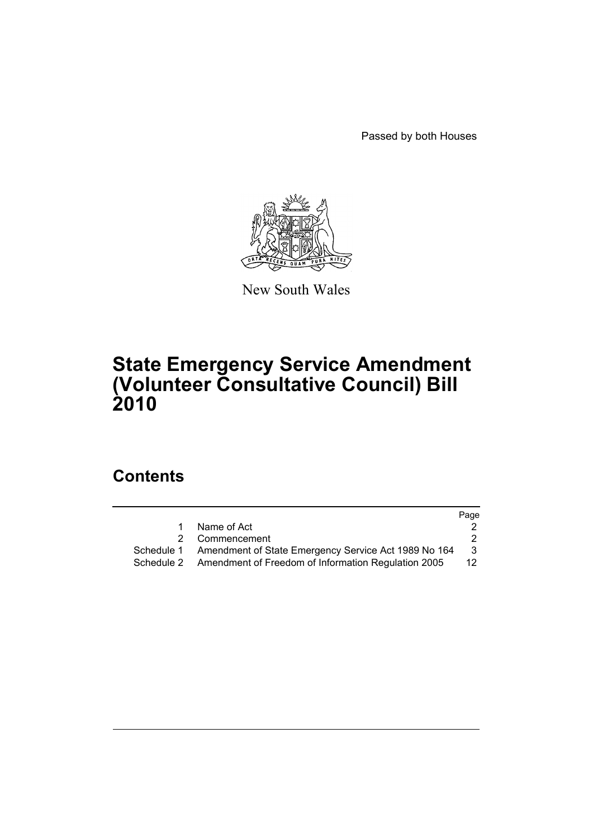Passed by both Houses



New South Wales

# **State Emergency Service Amendment (Volunteer Consultative Council) Bill 2010**

# **Contents**

|             | Page                                                                                                                                                                |
|-------------|---------------------------------------------------------------------------------------------------------------------------------------------------------------------|
| Name of Act |                                                                                                                                                                     |
|             |                                                                                                                                                                     |
|             | 3                                                                                                                                                                   |
|             | 12 <sup>°</sup>                                                                                                                                                     |
|             | $\mathbf{1}$<br>2 Commencement<br>Schedule 1 Amendment of State Emergency Service Act 1989 No 164<br>Schedule 2 Amendment of Freedom of Information Regulation 2005 |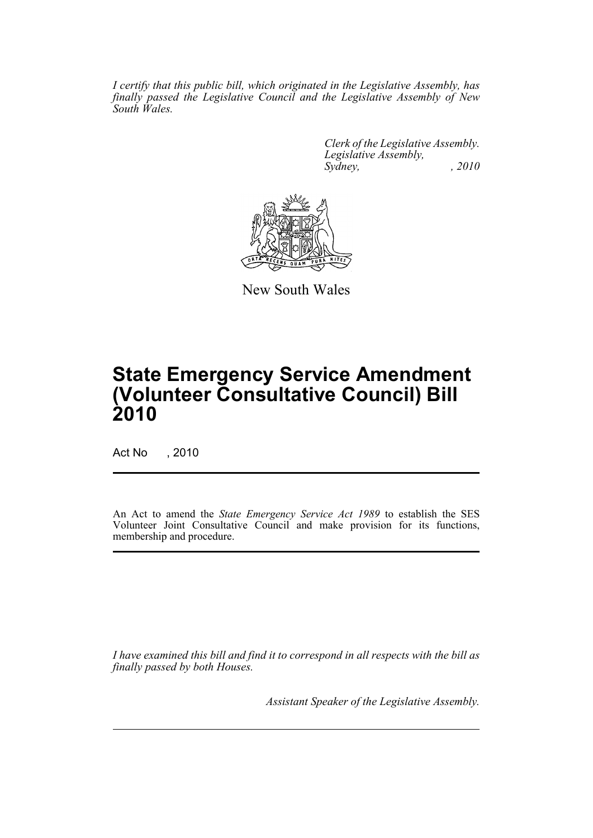*I certify that this public bill, which originated in the Legislative Assembly, has finally passed the Legislative Council and the Legislative Assembly of New South Wales.*

> *Clerk of the Legislative Assembly. Legislative Assembly, Sydney, , 2010*



New South Wales

# **State Emergency Service Amendment (Volunteer Consultative Council) Bill 2010**

Act No , 2010

An Act to amend the *State Emergency Service Act 1989* to establish the SES Volunteer Joint Consultative Council and make provision for its functions, membership and procedure.

*I have examined this bill and find it to correspond in all respects with the bill as finally passed by both Houses.*

*Assistant Speaker of the Legislative Assembly.*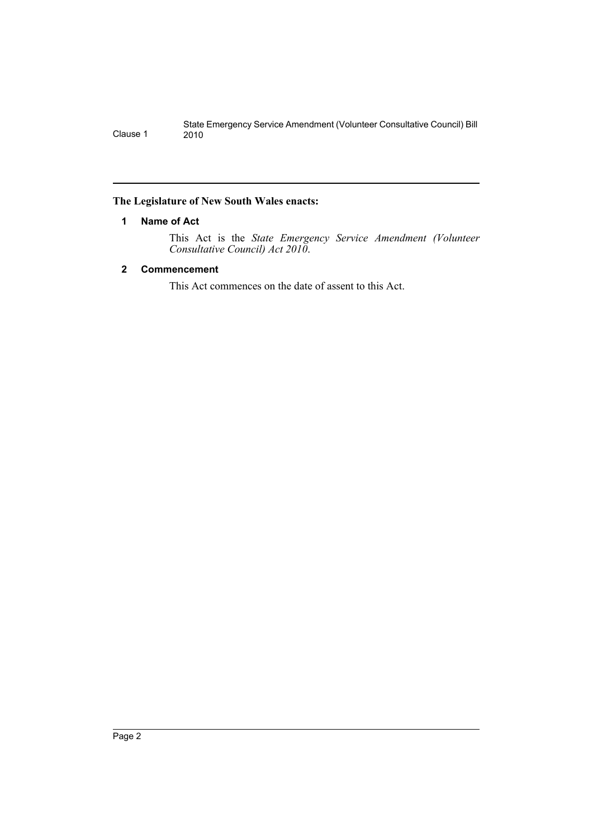### <span id="page-2-0"></span>**The Legislature of New South Wales enacts:**

#### **1 Name of Act**

This Act is the *State Emergency Service Amendment (Volunteer Consultative Council) Act 2010*.

### <span id="page-2-1"></span>**2 Commencement**

This Act commences on the date of assent to this Act.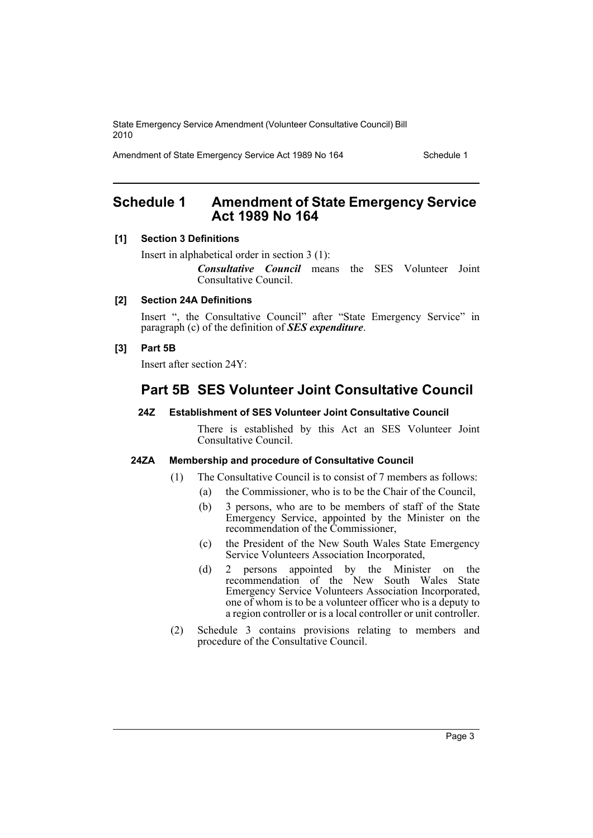Amendment of State Emergency Service Act 1989 No 164 Schedule 1

# <span id="page-3-0"></span>**Schedule 1 Amendment of State Emergency Service Act 1989 No 164**

#### **[1] Section 3 Definitions**

Insert in alphabetical order in section 3 (1):

*Consultative Council* means the SES Volunteer Joint Consultative Council.

## **[2] Section 24A Definitions**

Insert ", the Consultative Council" after "State Emergency Service" in paragraph (c) of the definition of *SES expenditure*.

### **[3] Part 5B**

Insert after section 24Y:

# **Part 5B SES Volunteer Joint Consultative Council**

#### **24Z Establishment of SES Volunteer Joint Consultative Council**

There is established by this Act an SES Volunteer Joint Consultative Council.

#### **24ZA Membership and procedure of Consultative Council**

- (1) The Consultative Council is to consist of 7 members as follows:
	- (a) the Commissioner, who is to be the Chair of the Council,
	- (b) 3 persons, who are to be members of staff of the State Emergency Service, appointed by the Minister on the recommendation of the Commissioner,
	- (c) the President of the New South Wales State Emergency Service Volunteers Association Incorporated,
	- (d) 2 persons appointed by the Minister on the recommendation of the New South Wales State Emergency Service Volunteers Association Incorporated, one of whom is to be a volunteer officer who is a deputy to a region controller or is a local controller or unit controller.
- (2) Schedule 3 contains provisions relating to members and procedure of the Consultative Council.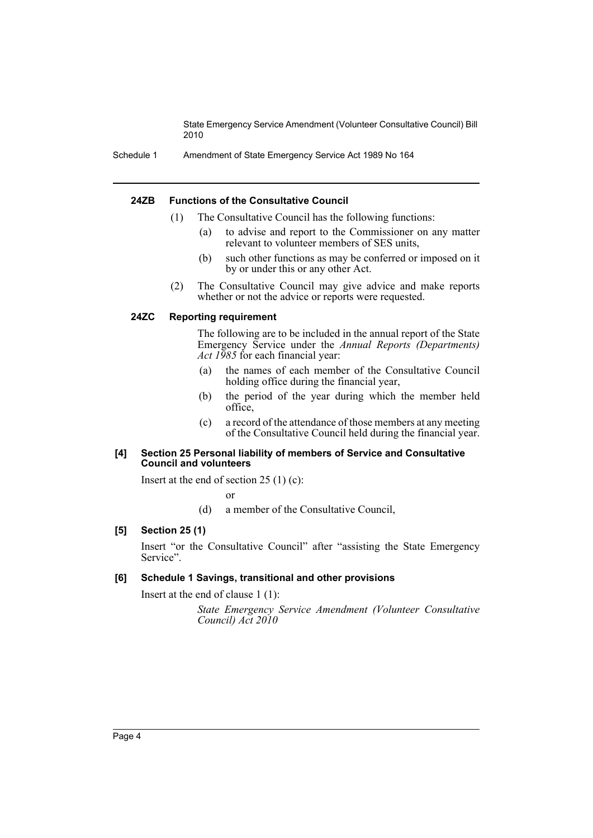Schedule 1 Amendment of State Emergency Service Act 1989 No 164

#### **24ZB Functions of the Consultative Council**

- (1) The Consultative Council has the following functions:
	- (a) to advise and report to the Commissioner on any matter relevant to volunteer members of SES units,
	- (b) such other functions as may be conferred or imposed on it by or under this or any other Act.
- (2) The Consultative Council may give advice and make reports whether or not the advice or reports were requested.

#### **24ZC Reporting requirement**

The following are to be included in the annual report of the State Emergency Service under the *Annual Reports (Departments) Act 1985* for each financial year:

- (a) the names of each member of the Consultative Council holding office during the financial year,
- (b) the period of the year during which the member held office,
- (c) a record of the attendance of those members at any meeting of the Consultative Council held during the financial year.

#### **[4] Section 25 Personal liability of members of Service and Consultative Council and volunteers**

Insert at the end of section  $25(1)(c)$ :

or

(d) a member of the Consultative Council,

#### **[5] Section 25 (1)**

Insert "or the Consultative Council" after "assisting the State Emergency Service".

#### **[6] Schedule 1 Savings, transitional and other provisions**

Insert at the end of clause 1 (1):

*State Emergency Service Amendment (Volunteer Consultative Council) Act 2010*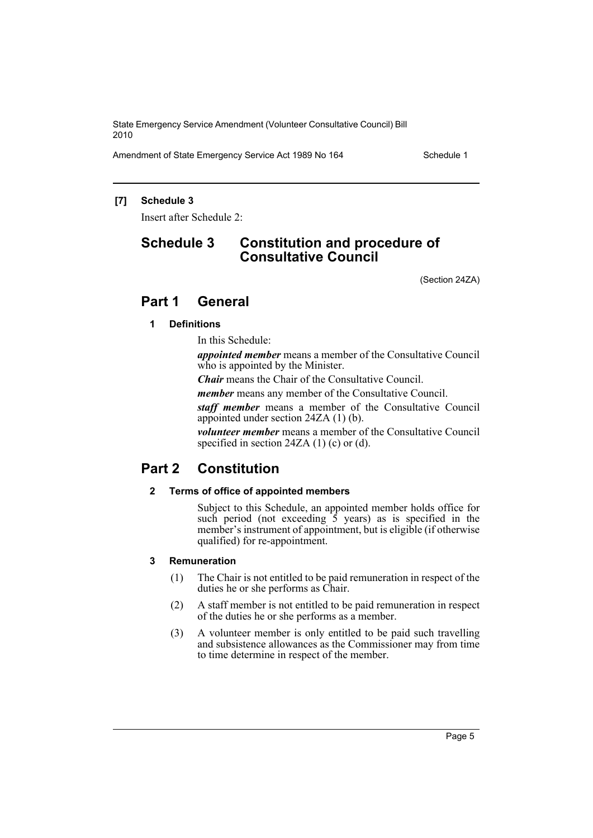Amendment of State Emergency Service Act 1989 No 164 Schedule 1

## **[7] Schedule 3**

Insert after Schedule 2:

# **Schedule 3 Constitution and procedure of Consultative Council**

(Section 24ZA)

# **Part 1 General**

#### **1 Definitions**

In this Schedule:

*appointed member* means a member of the Consultative Council who is appointed by the Minister.

*Chair* means the Chair of the Consultative Council.

*member* means any member of the Consultative Council.

*staff member* means a member of the Consultative Council appointed under section 24ZA (1) (b).

*volunteer member* means a member of the Consultative Council specified in section 24ZA (1) (c) or (d).

# **Part 2 Constitution**

#### **2 Terms of office of appointed members**

Subject to this Schedule, an appointed member holds office for such period (not exceeding  $\overline{5}$  years) as is specified in the member's instrument of appointment, but is eligible (if otherwise qualified) for re-appointment.

#### **3 Remuneration**

- (1) The Chair is not entitled to be paid remuneration in respect of the duties he or she performs as Chair.
- (2) A staff member is not entitled to be paid remuneration in respect of the duties he or she performs as a member.
- (3) A volunteer member is only entitled to be paid such travelling and subsistence allowances as the Commissioner may from time to time determine in respect of the member.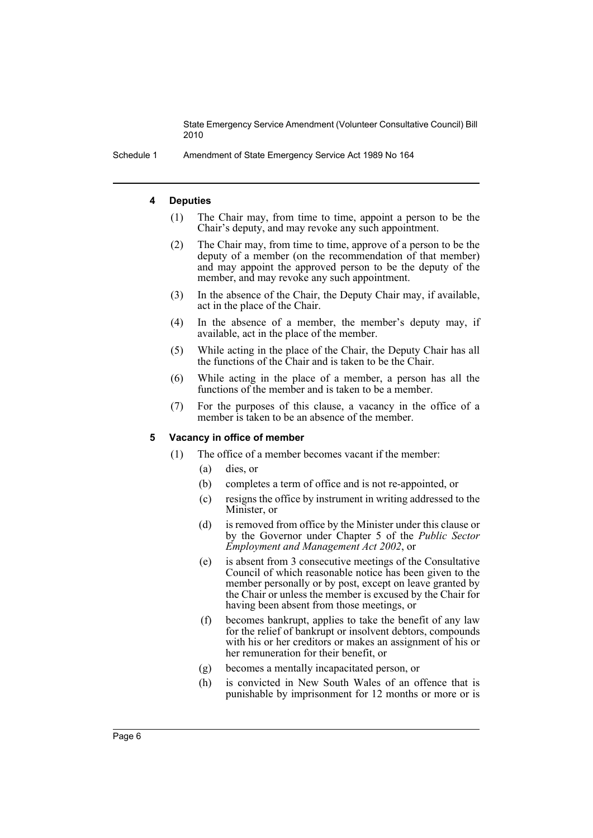Schedule 1 Amendment of State Emergency Service Act 1989 No 164

#### **4 Deputies**

- (1) The Chair may, from time to time, appoint a person to be the Chair's deputy, and may revoke any such appointment.
- (2) The Chair may, from time to time, approve of a person to be the deputy of a member (on the recommendation of that member) and may appoint the approved person to be the deputy of the member, and may revoke any such appointment.
- (3) In the absence of the Chair, the Deputy Chair may, if available, act in the place of the Chair.
- (4) In the absence of a member, the member's deputy may, if available, act in the place of the member.
- (5) While acting in the place of the Chair, the Deputy Chair has all the functions of the Chair and is taken to be the Chair.
- (6) While acting in the place of a member, a person has all the functions of the member and is taken to be a member.
- (7) For the purposes of this clause, a vacancy in the office of a member is taken to be an absence of the member.

#### **5 Vacancy in office of member**

- (1) The office of a member becomes vacant if the member:
	- (a) dies, or
	- (b) completes a term of office and is not re-appointed, or
	- (c) resigns the office by instrument in writing addressed to the Minister, or
	- (d) is removed from office by the Minister under this clause or by the Governor under Chapter 5 of the *Public Sector Employment and Management Act 2002*, or
	- (e) is absent from 3 consecutive meetings of the Consultative Council of which reasonable notice has been given to the member personally or by post, except on leave granted by the Chair or unless the member is excused by the Chair for having been absent from those meetings, or
	- (f) becomes bankrupt, applies to take the benefit of any law for the relief of bankrupt or insolvent debtors, compounds with his or her creditors or makes an assignment of his or her remuneration for their benefit, or
	- (g) becomes a mentally incapacitated person, or
	- (h) is convicted in New South Wales of an offence that is punishable by imprisonment for 12 months or more or is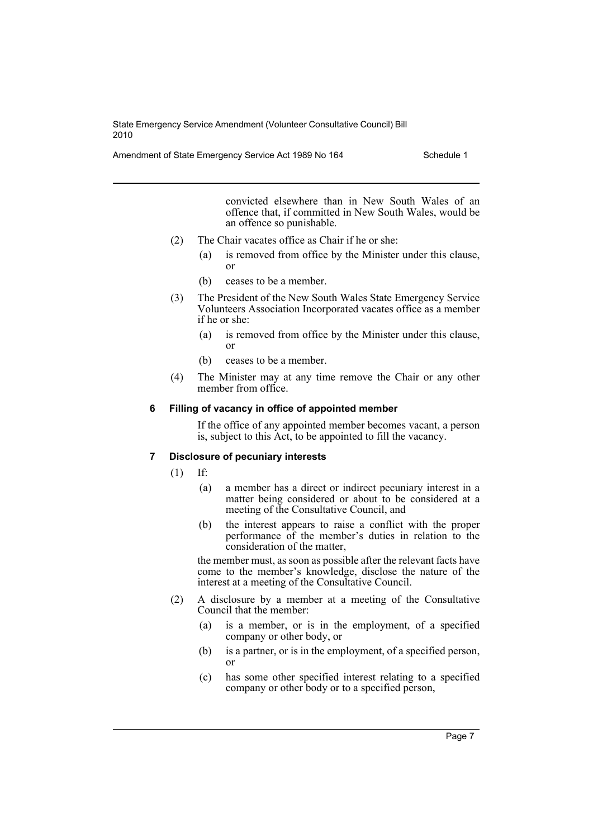Amendment of State Emergency Service Act 1989 No 164 Schedule 1

convicted elsewhere than in New South Wales of an offence that, if committed in New South Wales, would be an offence so punishable.

- (2) The Chair vacates office as Chair if he or she:
	- (a) is removed from office by the Minister under this clause, or
	- (b) ceases to be a member.
- (3) The President of the New South Wales State Emergency Service Volunteers Association Incorporated vacates office as a member if he or she:
	- (a) is removed from office by the Minister under this clause, or
	- (b) ceases to be a member.
- (4) The Minister may at any time remove the Chair or any other member from office.

#### **6 Filling of vacancy in office of appointed member**

If the office of any appointed member becomes vacant, a person is, subject to this Act, to be appointed to fill the vacancy.

### **7 Disclosure of pecuniary interests**

(1) If:

- (a) a member has a direct or indirect pecuniary interest in a matter being considered or about to be considered at a meeting of the Consultative Council, and
- (b) the interest appears to raise a conflict with the proper performance of the member's duties in relation to the consideration of the matter,

the member must, as soon as possible after the relevant facts have come to the member's knowledge, disclose the nature of the interest at a meeting of the Consultative Council.

- (2) A disclosure by a member at a meeting of the Consultative Council that the member:
	- (a) is a member, or is in the employment, of a specified company or other body, or
	- (b) is a partner, or is in the employment, of a specified person, or
	- (c) has some other specified interest relating to a specified company or other body or to a specified person,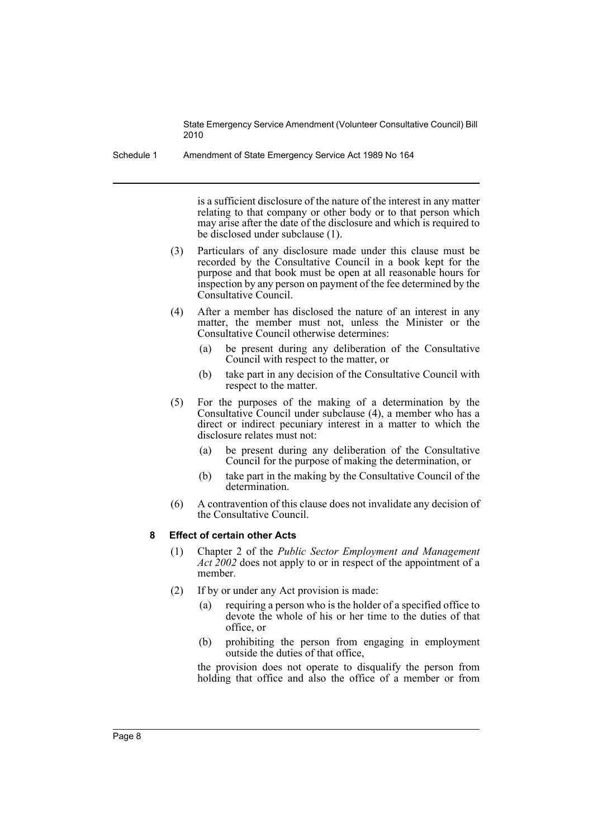Schedule 1 Amendment of State Emergency Service Act 1989 No 164

is a sufficient disclosure of the nature of the interest in any matter relating to that company or other body or to that person which may arise after the date of the disclosure and which is required to be disclosed under subclause (1).

- (3) Particulars of any disclosure made under this clause must be recorded by the Consultative Council in a book kept for the purpose and that book must be open at all reasonable hours for inspection by any person on payment of the fee determined by the Consultative Council.
- (4) After a member has disclosed the nature of an interest in any matter, the member must not, unless the Minister or the Consultative Council otherwise determines:
	- (a) be present during any deliberation of the Consultative Council with respect to the matter, or
	- (b) take part in any decision of the Consultative Council with respect to the matter.
- (5) For the purposes of the making of a determination by the Consultative Council under subclause (4), a member who has a direct or indirect pecuniary interest in a matter to which the disclosure relates must not:
	- (a) be present during any deliberation of the Consultative Council for the purpose of making the determination, or
	- (b) take part in the making by the Consultative Council of the determination.
- (6) A contravention of this clause does not invalidate any decision of the Consultative Council.

### **8 Effect of certain other Acts**

- (1) Chapter 2 of the *Public Sector Employment and Management Act 2002* does not apply to or in respect of the appointment of a member.
- (2) If by or under any Act provision is made:
	- (a) requiring a person who is the holder of a specified office to devote the whole of his or her time to the duties of that office, or
	- (b) prohibiting the person from engaging in employment outside the duties of that office,

the provision does not operate to disqualify the person from holding that office and also the office of a member or from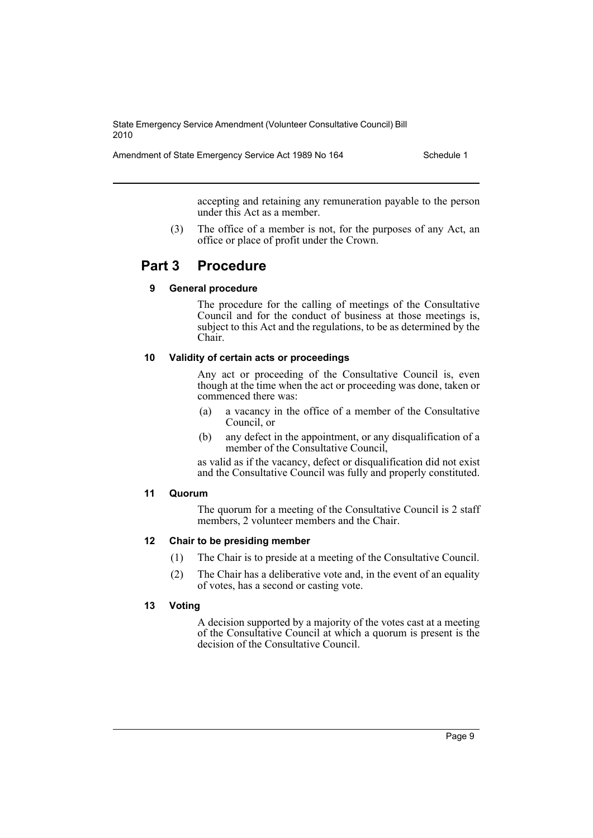Amendment of State Emergency Service Act 1989 No 164 Schedule 1

accepting and retaining any remuneration payable to the person under this Act as a member.

(3) The office of a member is not, for the purposes of any Act, an office or place of profit under the Crown.

## **Part 3 Procedure**

#### **9 General procedure**

The procedure for the calling of meetings of the Consultative Council and for the conduct of business at those meetings is, subject to this Act and the regulations, to be as determined by the Chair.

#### **10 Validity of certain acts or proceedings**

Any act or proceeding of the Consultative Council is, even though at the time when the act or proceeding was done, taken or commenced there was:

- (a) a vacancy in the office of a member of the Consultative Council, or
- (b) any defect in the appointment, or any disqualification of a member of the Consultative Council,

as valid as if the vacancy, defect or disqualification did not exist and the Consultative Council was fully and properly constituted.

#### **11 Quorum**

The quorum for a meeting of the Consultative Council is 2 staff members, 2 volunteer members and the Chair.

#### **12 Chair to be presiding member**

- (1) The Chair is to preside at a meeting of the Consultative Council.
- (2) The Chair has a deliberative vote and, in the event of an equality of votes, has a second or casting vote.

#### **13 Voting**

A decision supported by a majority of the votes cast at a meeting of the Consultative Council at which a quorum is present is the decision of the Consultative Council.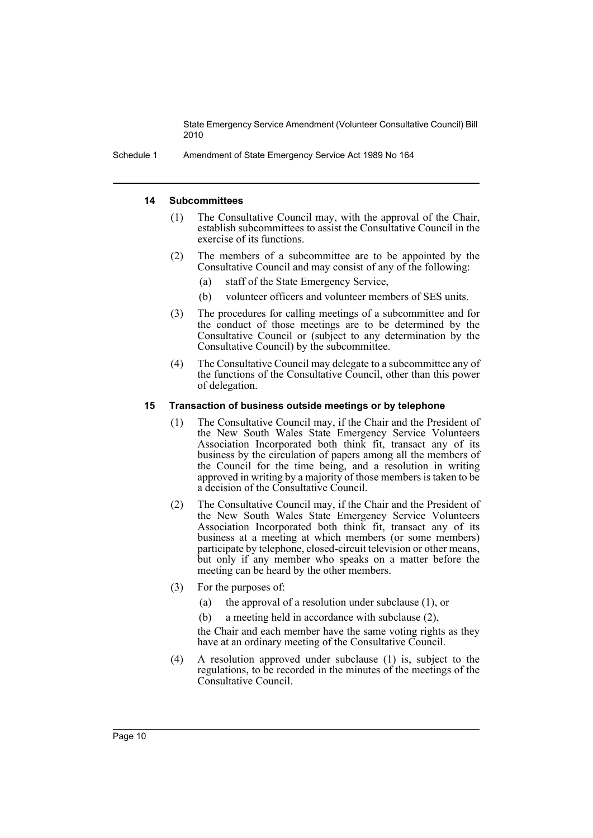Schedule 1 Amendment of State Emergency Service Act 1989 No 164

#### **14 Subcommittees**

- (1) The Consultative Council may, with the approval of the Chair, establish subcommittees to assist the Consultative Council in the exercise of its functions.
- (2) The members of a subcommittee are to be appointed by the Consultative Council and may consist of any of the following:
	- (a) staff of the State Emergency Service,
	- (b) volunteer officers and volunteer members of SES units.
- (3) The procedures for calling meetings of a subcommittee and for the conduct of those meetings are to be determined by the Consultative Council or (subject to any determination by the Consultative Council) by the subcommittee.
- (4) The Consultative Council may delegate to a subcommittee any of the functions of the Consultative Council, other than this power of delegation.

#### **15 Transaction of business outside meetings or by telephone**

- (1) The Consultative Council may, if the Chair and the President of the New South Wales State Emergency Service Volunteers Association Incorporated both think fit, transact any of its business by the circulation of papers among all the members of the Council for the time being, and a resolution in writing approved in writing by a majority of those members is taken to be a decision of the Consultative Council.
- (2) The Consultative Council may, if the Chair and the President of the New South Wales State Emergency Service Volunteers Association Incorporated both think fit, transact any of its business at a meeting at which members (or some members) participate by telephone, closed-circuit television or other means, but only if any member who speaks on a matter before the meeting can be heard by the other members.
- (3) For the purposes of:
	- (a) the approval of a resolution under subclause (1), or
	- (b) a meeting held in accordance with subclause (2),

the Chair and each member have the same voting rights as they have at an ordinary meeting of the Consultative Council.

(4) A resolution approved under subclause (1) is, subject to the regulations, to be recorded in the minutes of the meetings of the Consultative Council.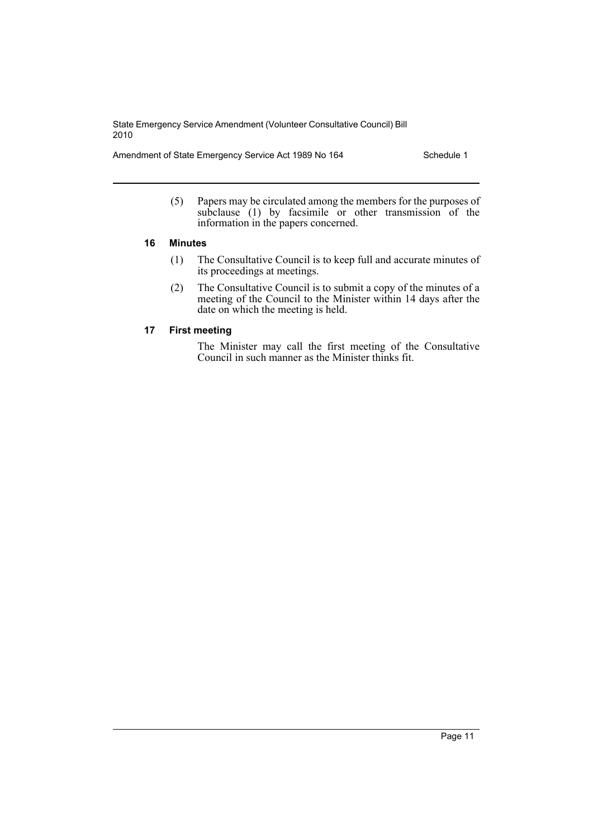Amendment of State Emergency Service Act 1989 No 164 Schedule 1

(5) Papers may be circulated among the members for the purposes of subclause  $(1)$  by facsimile or other transmission of the information in the papers concerned.

### **16 Minutes**

- (1) The Consultative Council is to keep full and accurate minutes of its proceedings at meetings.
- (2) The Consultative Council is to submit a copy of the minutes of a meeting of the Council to the Minister within 14 days after the date on which the meeting is held.

### **17 First meeting**

The Minister may call the first meeting of the Consultative Council in such manner as the Minister thinks fit.